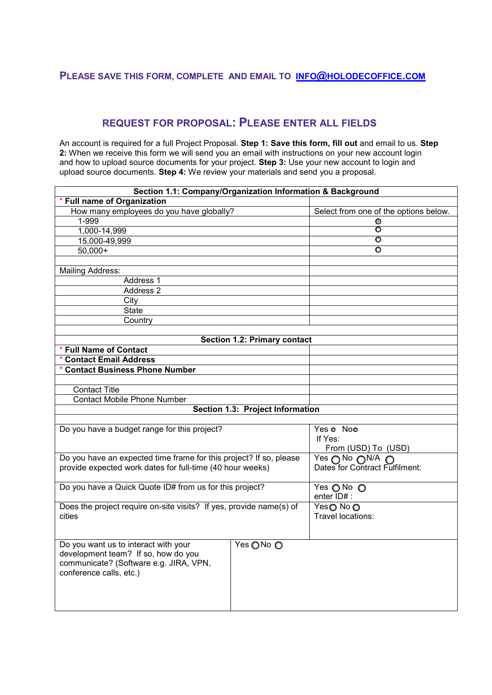## **PLEASE SAVE THIS FORM, COMPLETE AND EMAIL TO [INFO@HOLODECOFFICE.COM](mailto:info@holodecoffice.com)**

## **REQUEST FOR PROPOSAL: PLEASE ENTER ALL FIELDS**

An account is required for a full Project Proposal. **Step 1: Save this form, fill out** and email to us. **Step 2:** When we receive this form we will send you an email with instructions on your new account login and how to upload source documents for your project. **Step 3:** Use your new account to login and upload source documents. **Step 4:** We review your materials and send you a proposal.

| Section 1.1: Company/Organization Information & Background          |                                       |
|---------------------------------------------------------------------|---------------------------------------|
| <b>Full name of Organization</b>                                    |                                       |
| How many employees do you have globally?                            | Select from one of the options below. |
| 1-999                                                               | ⊙                                     |
| 1,000-14,999                                                        | O                                     |
| 15,000-49,999                                                       | O                                     |
| $50,000+$                                                           | O                                     |
|                                                                     |                                       |
| Mailing Address:                                                    |                                       |
| Address 1                                                           |                                       |
| Address 2                                                           |                                       |
| City                                                                |                                       |
| <b>State</b>                                                        |                                       |
| Country                                                             |                                       |
|                                                                     |                                       |
| <b>Section 1.2: Primary contact</b>                                 |                                       |
| <b>Full Name of Contact</b>                                         |                                       |
| <b>Contact Email Address</b>                                        |                                       |
| <b>Contact Business Phone Number</b>                                |                                       |
|                                                                     |                                       |
| <b>Contact Title</b>                                                |                                       |
| <b>Contact Mobile Phone Number</b>                                  |                                       |
| Section 1.3: Project Information                                    |                                       |
|                                                                     |                                       |
| Do you have a budget range for this project?                        | Yes o Noo                             |
|                                                                     | If Yes:                               |
|                                                                     | From (USD) To (USD)                   |
| Do you have an expected time frame for this project? If so, please  | Yes ∩No ∩N/A ∩                        |
| provide expected work dates for full-time (40 hour weeks)           | Dates for Contract Fulfilment:        |
|                                                                     |                                       |
| Do you have a Quick Quote ID# from us for this project?             | Yes ONo O                             |
|                                                                     | enter ID# :                           |
| Does the project require on-site visits? If yes, provide name(s) of | Yes <b>O</b> No <b>O</b>              |
| cities                                                              | Travel locations:                     |
|                                                                     |                                       |
|                                                                     |                                       |
| Do you want us to interact with your<br>Yes ONo O                   |                                       |
| development team? If so, how do you                                 |                                       |
| communicate? (Software e.g. JIRA, VPN,                              |                                       |
| conference calls, etc.)                                             |                                       |
|                                                                     |                                       |
|                                                                     |                                       |
|                                                                     |                                       |